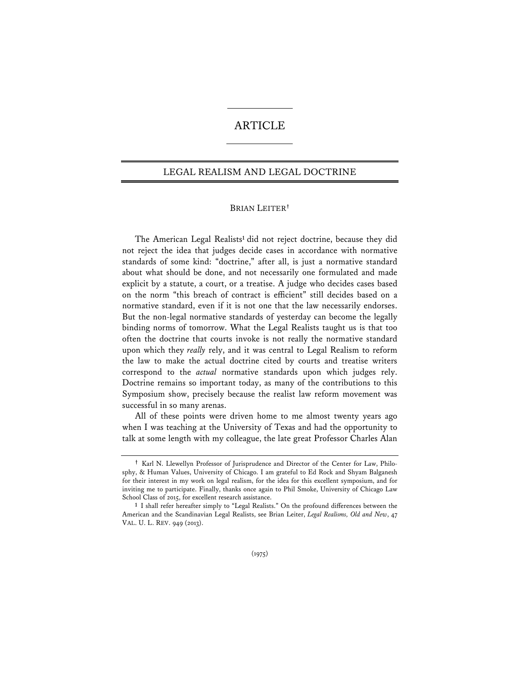## ARTICLE

## LEGAL REALISM AND LEGAL DOCTRINE

## BRIAN LEITER**†**

The American Legal Realists<sup>1</sup> did not reject doctrine, because they did not reject the idea that judges decide cases in accordance with normative standards of some kind: "doctrine," after all, is just a normative standard about what should be done, and not necessarily one formulated and made explicit by a statute, a court, or a treatise. A judge who decides cases based on the norm "this breach of contract is efficient" still decides based on a normative standard, even if it is not one that the law necessarily endorses. But the non-legal normative standards of yesterday can become the legally binding norms of tomorrow. What the Legal Realists taught us is that too often the doctrine that courts invoke is not really the normative standard upon which they *really* rely, and it was central to Legal Realism to reform the law to make the actual doctrine cited by courts and treatise writers correspond to the *actual* normative standards upon which judges rely. Doctrine remains so important today, as many of the contributions to this Symposium show, precisely because the realist law reform movement was successful in so many arenas.

All of these points were driven home to me almost twenty years ago when I was teaching at the University of Texas and had the opportunity to talk at some length with my colleague, the late great Professor Charles Alan

**<sup>†</sup>** Karl N. Llewellyn Professor of Jurisprudence and Director of the Center for Law, Philosphy, & Human Values, University of Chicago. I am grateful to Ed Rock and Shyam Balganesh for their interest in my work on legal realism, for the idea for this excellent symposium, and for inviting me to participate. Finally, thanks once again to Phil Smoke, University of Chicago Law School Class of 2015, for excellent research assistance. **1** I shall refer hereafter simply to "Legal Realists." On the profound differences between the

American and the Scandinavian Legal Realists, see Brian Leiter, *Legal Realisms, Old and New*, 47 VAL. U. L. REV. 949 (2013).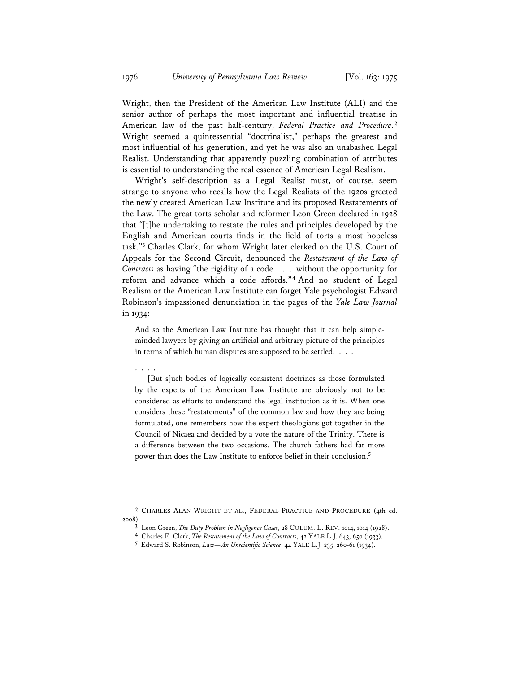Wright, then the President of the American Law Institute (ALI) and the senior author of perhaps the most important and influential treatise in American law of the past half-century, *Federal Practice and Procedure*.**<sup>2</sup>** Wright seemed a quintessential "doctrinalist," perhaps the greatest and most influential of his generation, and yet he was also an unabashed Legal Realist. Understanding that apparently puzzling combination of attributes is essential to understanding the real essence of American Legal Realism.

Wright's self-description as a Legal Realist must, of course, seem strange to anyone who recalls how the Legal Realists of the 1920s greeted the newly created American Law Institute and its proposed Restatements of the Law. The great torts scholar and reformer Leon Green declared in 1928 that "[t]he undertaking to restate the rules and principles developed by the English and American courts finds in the field of torts a most hopeless task."**<sup>3</sup>** Charles Clark, for whom Wright later clerked on the U.S. Court of Appeals for the Second Circuit, denounced the *Restatement of the Law of Contracts* as having "the rigidity of a code . . . without the opportunity for reform and advance which a code affords."**<sup>4</sup>** And no student of Legal Realism or the American Law Institute can forget Yale psychologist Edward Robinson's impassioned denunciation in the pages of the *Yale Law Journal* in 1934:

And so the American Law Institute has thought that it can help simpleminded lawyers by giving an artificial and arbitrary picture of the principles in terms of which human disputes are supposed to be settled. . . .

. . . . [But s]uch bodies of logically consistent doctrines as those formulated by the experts of the American Law Institute are obviously not to be considered as efforts to understand the legal institution as it is. When one considers these "restatements" of the common law and how they are being formulated, one remembers how the expert theologians got together in the Council of Nicaea and decided by a vote the nature of the Trinity. There is a difference between the two occasions. The church fathers had far more power than does the Law Institute to enforce belief in their conclusion.**<sup>5</sup>**

**<sup>2</sup>** CHARLES ALAN WRIGHT ET AL., FEDERAL PRACTICE AND PROCEDURE (4th ed. 2008).

**<sup>3</sup>** Leon Green, *The Duty Problem in Negligence Cases*, 28 COLUM. L. REV. 1014, 1014 (1928). **4** Charles E. Clark, *The Restatement of the Law of Contracts*, 42 YALE L.J. 643, 650 (1933).

**<sup>5</sup>** Edward S. Robinson, *Law—An Unscientific Science*, 44 YALE L.J. 235, 260-61 (1934).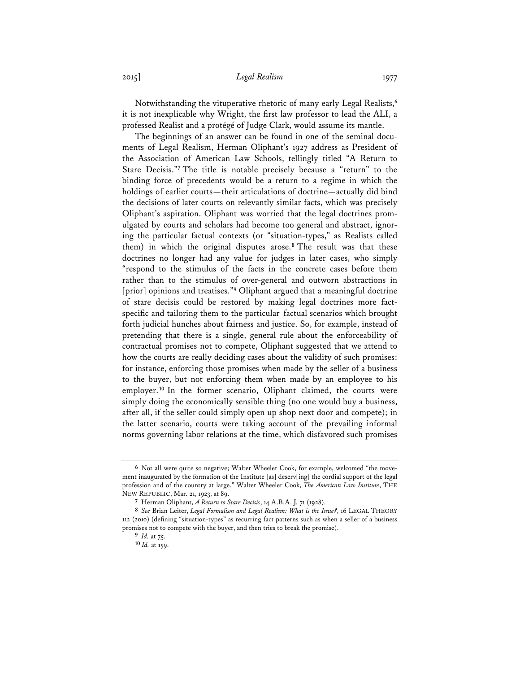2015] *Legal Realism* 1977

Notwithstanding the vituperative rhetoric of many early Legal Realists,**<sup>6</sup>** it is not inexplicable why Wright, the first law professor to lead the ALI, a professed Realist and a protégé of Judge Clark, would assume its mantle.

The beginnings of an answer can be found in one of the seminal documents of Legal Realism, Herman Oliphant's 1927 address as President of the Association of American Law Schools, tellingly titled "A Return to Stare Decisis."**<sup>7</sup>** The title is notable precisely because a "return" to the binding force of precedents would be a return to a regime in which the holdings of earlier courts—their articulations of doctrine—actually did bind the decisions of later courts on relevantly similar facts, which was precisely Oliphant's aspiration. Oliphant was worried that the legal doctrines promulgated by courts and scholars had become too general and abstract, ignoring the particular factual contexts (or "situation-types," as Realists called them) in which the original disputes arose.**<sup>8</sup>** The result was that these doctrines no longer had any value for judges in later cases, who simply "respond to the stimulus of the facts in the concrete cases before them rather than to the stimulus of over-general and outworn abstractions in [prior] opinions and treatises."**<sup>9</sup>** Oliphant argued that a meaningful doctrine of stare decisis could be restored by making legal doctrines more factspecific and tailoring them to the particular factual scenarios which brought forth judicial hunches about fairness and justice. So, for example, instead of pretending that there is a single, general rule about the enforceability of contractual promises not to compete, Oliphant suggested that we attend to how the courts are really deciding cases about the validity of such promises: for instance, enforcing those promises when made by the seller of a business to the buyer, but not enforcing them when made by an employee to his employer.**<sup>10</sup>** In the former scenario, Oliphant claimed, the courts were simply doing the economically sensible thing (no one would buy a business, after all, if the seller could simply open up shop next door and compete); in the latter scenario, courts were taking account of the prevailing informal norms governing labor relations at the time, which disfavored such promises

**<sup>6</sup>** Not all were quite so negative; Walter Wheeler Cook, for example, welcomed "the movement inaugurated by the formation of the Institute [as] deserv[ing] the cordial support of the legal profession and of the country at large." Walter Wheeler Cook, *The American Law Institute*, THE NEW REPUBLIC, Mar. 21, 1923, at 89.

**<sup>7</sup>** Herman Oliphant, *A Return to Stare Decisis*, 14 A.B.A. J. 71 (1928).

**<sup>8</sup>** *See* Brian Leiter, *Legal Formalism and Legal Realism: What is the Issue?*, 16 LEGAL THEORY 112 (2010) (defining "situation-types" as recurring fact patterns such as when a seller of a business promises not to compete with the buyer, and then tries to break the promise).

**<sup>9</sup>** *Id.* at 75.

**<sup>10</sup>** *Id.* at 159.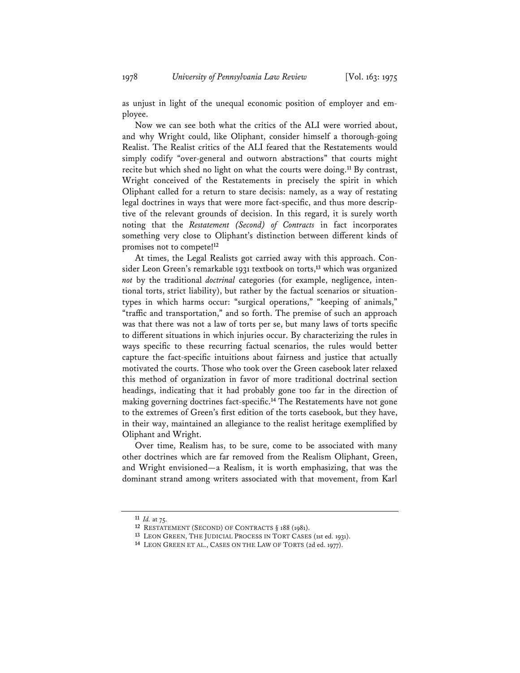as unjust in light of the unequal economic position of employer and employee.

Now we can see both what the critics of the ALI were worried about, and why Wright could, like Oliphant, consider himself a thorough-going Realist. The Realist critics of the ALI feared that the Restatements would simply codify "over-general and outworn abstractions" that courts might recite but which shed no light on what the courts were doing.**<sup>11</sup>** By contrast, Wright conceived of the Restatements in precisely the spirit in which Oliphant called for a return to stare decisis: namely, as a way of restating legal doctrines in ways that were more fact-specific, and thus more descriptive of the relevant grounds of decision. In this regard, it is surely worth noting that the *Restatement (Second) of Contracts* in fact incorporates something very close to Oliphant's distinction between different kinds of promises not to compete!**<sup>12</sup>**

At times, the Legal Realists got carried away with this approach. Consider Leon Green's remarkable 1931 textbook on torts,**<sup>13</sup>** which was organized *not* by the traditional *doctrinal* categories (for example, negligence, intentional torts, strict liability), but rather by the factual scenarios or situationtypes in which harms occur: "surgical operations," "keeping of animals," "traffic and transportation," and so forth. The premise of such an approach was that there was not a law of torts per se, but many laws of torts specific to different situations in which injuries occur. By characterizing the rules in ways specific to these recurring factual scenarios, the rules would better capture the fact-specific intuitions about fairness and justice that actually motivated the courts. Those who took over the Green casebook later relaxed this method of organization in favor of more traditional doctrinal section headings, indicating that it had probably gone too far in the direction of making governing doctrines fact-specific.**<sup>14</sup>** The Restatements have not gone to the extremes of Green's first edition of the torts casebook, but they have, in their way, maintained an allegiance to the realist heritage exemplified by Oliphant and Wright.

Over time, Realism has, to be sure, come to be associated with many other doctrines which are far removed from the Realism Oliphant, Green, and Wright envisioned—a Realism, it is worth emphasizing, that was the dominant strand among writers associated with that movement, from Karl

**<sup>11</sup>** *Id.* at 75.

**<sup>12</sup>** RESTATEMENT (SECOND) OF CONTRACTS § 188 (1981).

**<sup>13</sup>** LEON GREEN, THE JUDICIAL PROCESS IN TORT CASES (1st ed. 1931). **14** LEON GREEN ET AL., CASES ON THE LAW OF TORTS (2d ed. 1977).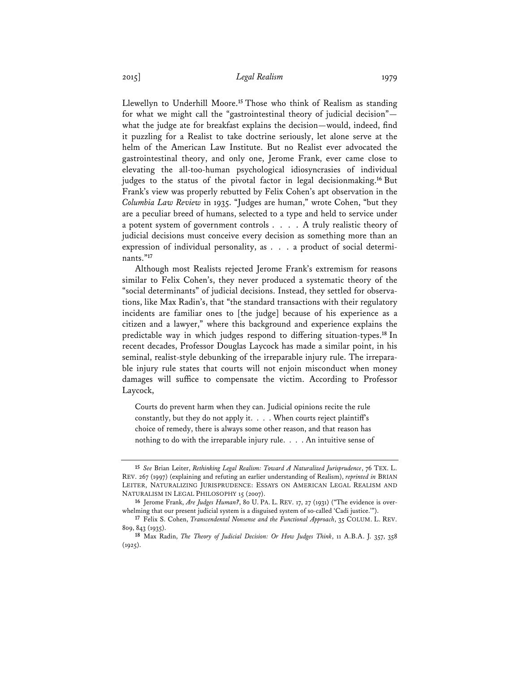Llewellyn to Underhill Moore.**<sup>15</sup>** Those who think of Realism as standing for what we might call the "gastrointestinal theory of judicial decision" what the judge ate for breakfast explains the decision—would, indeed, find it puzzling for a Realist to take doctrine seriously, let alone serve at the helm of the American Law Institute. But no Realist ever advocated the gastrointestinal theory, and only one, Jerome Frank, ever came close to elevating the all-too-human psychological idiosyncrasies of individual judges to the status of the pivotal factor in legal decisionmaking.**<sup>16</sup>** But Frank's view was properly rebutted by Felix Cohen's apt observation in the *Columbia Law Review* in 1935. "Judges are human," wrote Cohen, "but they are a peculiar breed of humans, selected to a type and held to service under a potent system of government controls . . . . A truly realistic theory of judicial decisions must conceive every decision as something more than an expression of individual personality, as . . . a product of social determinants."**<sup>17</sup>**

Although most Realists rejected Jerome Frank's extremism for reasons similar to Felix Cohen's, they never produced a systematic theory of the "social determinants" of judicial decisions. Instead, they settled for observations, like Max Radin's, that "the standard transactions with their regulatory incidents are familiar ones to [the judge] because of his experience as a citizen and a lawyer," where this background and experience explains the predictable way in which judges respond to differing situation-types.**<sup>18</sup>** In recent decades, Professor Douglas Laycock has made a similar point, in his seminal, realist-style debunking of the irreparable injury rule. The irreparable injury rule states that courts will not enjoin misconduct when money damages will suffice to compensate the victim. According to Professor Laycock,

Courts do prevent harm when they can. Judicial opinions recite the rule constantly, but they do not apply it. . . . When courts reject plaintiff's choice of remedy, there is always some other reason, and that reason has nothing to do with the irreparable injury rule. . . . An intuitive sense of

**<sup>15</sup>** *See* Brian Leiter, *Rethinking Legal Realism: Toward A Naturalized Jurisprudence*, 76 TEX. L. REV. 267 (1997) (explaining and refuting an earlier understanding of Realism), *reprinted in* BRIAN LEITER, NATURALIZING JURISPRUDENCE: ESSAYS ON AMERICAN LEGAL REALISM AND NATURALISM IN LEGAL PHILOSOPHY 15 (2007).

**<sup>16</sup>** Jerome Frank, *Are Judges Human?*, 80 U. PA. L. REV. 17, 27 (1931) ("The evidence is overwhelming that our present judicial system is a disguised system of so-called 'Cadi justice.'").

**<sup>17</sup>** Felix S. Cohen, *Transcendental Nonsense and the Functional Approach*, 35 COLUM. L. REV. 809, 843 (1935).

**<sup>18</sup>** Max Radin, *The Theory of Judicial Decision: Or How Judges Think*, 11 A.B.A. J. 357, 358  $(1925).$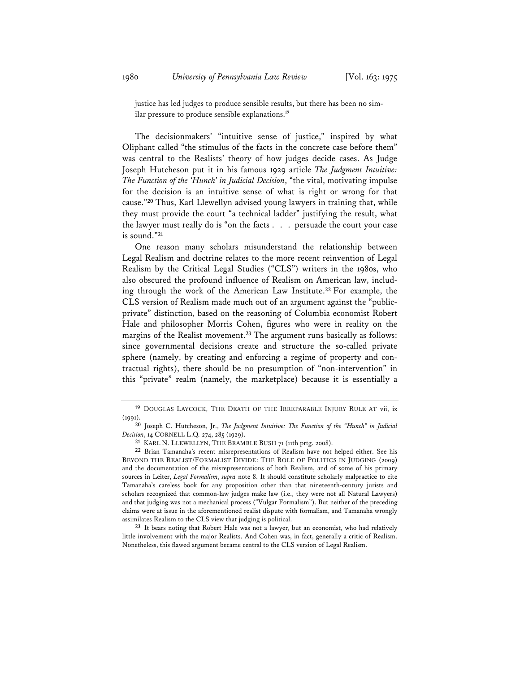justice has led judges to produce sensible results, but there has been no similar pressure to produce sensible explanations.**<sup>19</sup>**

The decisionmakers' "intuitive sense of justice," inspired by what Oliphant called "the stimulus of the facts in the concrete case before them" was central to the Realists' theory of how judges decide cases. As Judge Joseph Hutcheson put it in his famous 1929 article *The Judgment Intuitive: The Function of the 'Hunch' in Judicial Decision*, "the vital, motivating impulse for the decision is an intuitive sense of what is right or wrong for that cause."**<sup>20</sup>** Thus, Karl Llewellyn advised young lawyers in training that, while they must provide the court "a technical ladder" justifying the result, what the lawyer must really do is "on the facts . . . persuade the court your case is sound."**<sup>21</sup>**

One reason many scholars misunderstand the relationship between Legal Realism and doctrine relates to the more recent reinvention of Legal Realism by the Critical Legal Studies ("CLS") writers in the 1980s, who also obscured the profound influence of Realism on American law, including through the work of the American Law Institute.**<sup>22</sup>** For example, the CLS version of Realism made much out of an argument against the "publicprivate" distinction, based on the reasoning of Columbia economist Robert Hale and philosopher Morris Cohen, figures who were in reality on the margins of the Realist movement.**<sup>23</sup>** The argument runs basically as follows: since governmental decisions create and structure the so-called private sphere (namely, by creating and enforcing a regime of property and contractual rights), there should be no presumption of "non-intervention" in this "private" realm (namely, the marketplace) because it is essentially a

**<sup>23</sup>** It bears noting that Robert Hale was not a lawyer, but an economist, who had relatively little involvement with the major Realists. And Cohen was, in fact, generally a critic of Realism. Nonetheless, this flawed argument became central to the CLS version of Legal Realism.

**<sup>19</sup>** DOUGLAS LAYCOCK, THE DEATH OF THE IRREPARABLE INJURY RULE AT vii, ix (1991).

**<sup>20</sup>** Joseph C. Hutcheson, Jr., *The Judgment Intuitive: The Function of the "Hunch" in Judicial Decision*, 14 CORNELL L.Q. 274, 285 (1929).

**<sup>21</sup>** KARL N. LLEWELLYN, THE BRAMBLE BUSH 71 (11th prtg. 2008).

**<sup>22</sup>** Brian Tamanaha's recent misrepresentations of Realism have not helped either. See his BEYOND THE REALIST/FORMALIST DIVIDE: THE ROLE OF POLITICS IN JUDGING (2009) and the documentation of the misrepresentations of both Realism, and of some of his primary sources in Leiter, *Legal Formalism*, *supra* note 8. It should constitute scholarly malpractice to cite Tamanaha's careless book for any proposition other than that nineteenth-century jurists and scholars recognized that common-law judges make law (i.e., they were not all Natural Lawyers) and that judging was not a mechanical process ("Vulgar Formalism"). But neither of the preceding claims were at issue in the aforementioned realist dispute with formalism, and Tamanaha wrongly assimilates Realism to the CLS view that judging is political.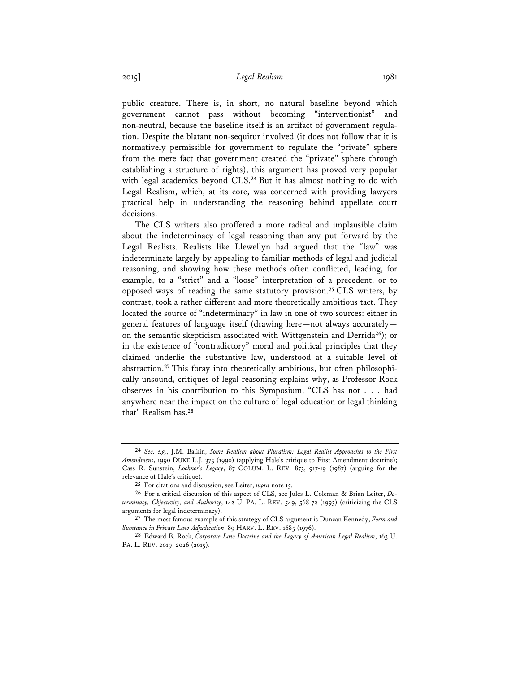public creature. There is, in short, no natural baseline beyond which government cannot pass without becoming "interventionist" and non-neutral, because the baseline itself is an artifact of government regulation. Despite the blatant non-sequitur involved (it does not follow that it is normatively permissible for government to regulate the "private" sphere from the mere fact that government created the "private" sphere through establishing a structure of rights), this argument has proved very popular with legal academics beyond CLS.**<sup>24</sup>** But it has almost nothing to do with Legal Realism, which, at its core, was concerned with providing lawyers practical help in understanding the reasoning behind appellate court decisions.

The CLS writers also proffered a more radical and implausible claim about the indeterminacy of legal reasoning than any put forward by the Legal Realists. Realists like Llewellyn had argued that the "law" was indeterminate largely by appealing to familiar methods of legal and judicial reasoning, and showing how these methods often conflicted, leading, for example, to a "strict" and a "loose" interpretation of a precedent, or to opposed ways of reading the same statutory provision.**<sup>25</sup>** CLS writers, by contrast, took a rather different and more theoretically ambitious tact. They located the source of "indeterminacy" in law in one of two sources: either in general features of language itself (drawing here—not always accurately on the semantic skepticism associated with Wittgenstein and Derrida**<sup>26</sup>**); or in the existence of "contradictory" moral and political principles that they claimed underlie the substantive law, understood at a suitable level of abstraction.**<sup>27</sup>** This foray into theoretically ambitious, but often philosophically unsound, critiques of legal reasoning explains why, as Professor Rock observes in his contribution to this Symposium, "CLS has not . . . had anywhere near the impact on the culture of legal education or legal thinking that" Realism has.**<sup>28</sup>**

**<sup>24</sup>** *See, e.g.*, J.M. Balkin, *Some Realism about Pluralism: Legal Realist Approaches to the First Amendment*, 1990 DUKE L.J. 375 (1990) (applying Hale's critique to First Amendment doctrine); Cass R. Sunstein, *Lochner's Legacy*, 87 COLUM. L. REV. 873, 917-19 (1987) (arguing for the relevance of Hale's critique).

**<sup>25</sup>** For citations and discussion, see Leiter, *supra* note 15.

**<sup>26</sup>** For a critical discussion of this aspect of CLS, see Jules L. Coleman & Brian Leiter, *Determinacy, Objectivity, and Authority*, 142 U. PA. L. REV. 549, 568-72 (1993) (criticizing the CLS arguments for legal indeterminacy).

**<sup>27</sup>** The most famous example of this strategy of CLS argument is Duncan Kennedy, *Form and Substance in Private Law Adjudication*, 89 HARV. L. REV. 1685 (1976).

**<sup>28</sup>** Edward B. Rock, *Corporate Law Doctrine and the Legacy of American Legal Realism*, 163 U. PA. L. REV. 2019, 2026 (2015)*.*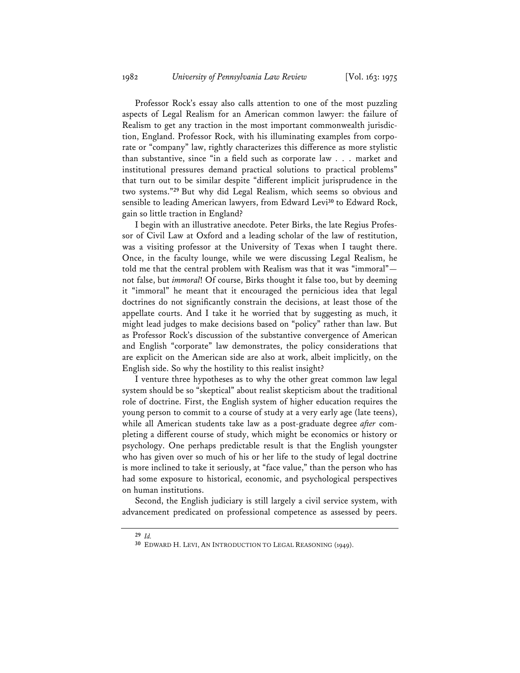Professor Rock's essay also calls attention to one of the most puzzling aspects of Legal Realism for an American common lawyer: the failure of Realism to get any traction in the most important commonwealth jurisdiction, England. Professor Rock, with his illuminating examples from corporate or "company" law, rightly characterizes this difference as more stylistic than substantive, since "in a field such as corporate law . . . market and institutional pressures demand practical solutions to practical problems" that turn out to be similar despite "different implicit jurisprudence in the two systems."**<sup>29</sup>** But why did Legal Realism, which seems so obvious and sensible to leading American lawyers, from Edward Levi**<sup>30</sup>** to Edward Rock, gain so little traction in England?

I begin with an illustrative anecdote. Peter Birks, the late Regius Professor of Civil Law at Oxford and a leading scholar of the law of restitution, was a visiting professor at the University of Texas when I taught there. Once, in the faculty lounge, while we were discussing Legal Realism, he told me that the central problem with Realism was that it was "immoral" not false, but *immoral*! Of course, Birks thought it false too, but by deeming it "immoral" he meant that it encouraged the pernicious idea that legal doctrines do not significantly constrain the decisions, at least those of the appellate courts. And I take it he worried that by suggesting as much, it might lead judges to make decisions based on "policy" rather than law. But as Professor Rock's discussion of the substantive convergence of American and English "corporate" law demonstrates, the policy considerations that are explicit on the American side are also at work, albeit implicitly, on the English side. So why the hostility to this realist insight?

I venture three hypotheses as to why the other great common law legal system should be so "skeptical" about realist skepticism about the traditional role of doctrine. First, the English system of higher education requires the young person to commit to a course of study at a very early age (late teens), while all American students take law as a post-graduate degree *after* completing a different course of study, which might be economics or history or psychology. One perhaps predictable result is that the English youngster who has given over so much of his or her life to the study of legal doctrine is more inclined to take it seriously, at "face value," than the person who has had some exposure to historical, economic, and psychological perspectives on human institutions.

Second, the English judiciary is still largely a civil service system, with advancement predicated on professional competence as assessed by peers.

**<sup>29</sup>** *Id.* **<sup>30</sup>** EDWARD H. LEVI, AN INTRODUCTION TO LEGAL REASONING (1949).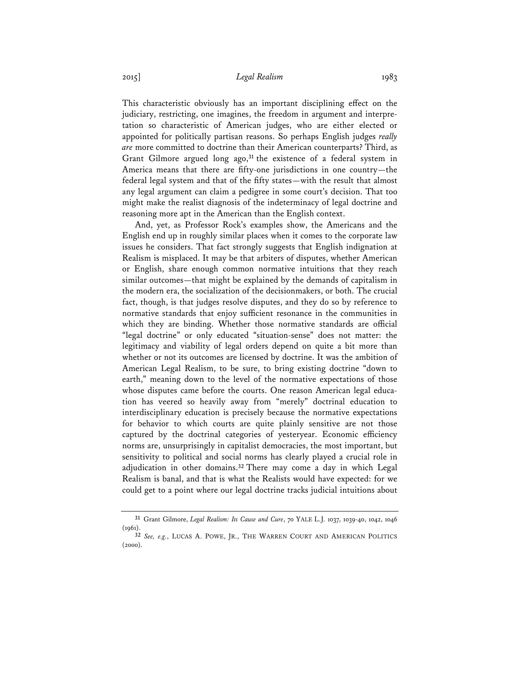This characteristic obviously has an important disciplining effect on the judiciary, restricting, one imagines, the freedom in argument and interpretation so characteristic of American judges, who are either elected or appointed for politically partisan reasons. So perhaps English judges *really are* more committed to doctrine than their American counterparts? Third, as Grant Gilmore argued long ago,**<sup>31</sup>** the existence of a federal system in America means that there are fifty-one jurisdictions in one country—the federal legal system and that of the fifty states—with the result that almost any legal argument can claim a pedigree in some court's decision. That too might make the realist diagnosis of the indeterminacy of legal doctrine and reasoning more apt in the American than the English context.

And, yet, as Professor Rock's examples show, the Americans and the English end up in roughly similar places when it comes to the corporate law issues he considers. That fact strongly suggests that English indignation at Realism is misplaced. It may be that arbiters of disputes, whether American or English, share enough common normative intuitions that they reach similar outcomes—that might be explained by the demands of capitalism in the modern era, the socialization of the decisionmakers, or both. The crucial fact, though, is that judges resolve disputes, and they do so by reference to normative standards that enjoy sufficient resonance in the communities in which they are binding. Whether those normative standards are official "legal doctrine" or only educated "situation-sense" does not matter: the legitimacy and viability of legal orders depend on quite a bit more than whether or not its outcomes are licensed by doctrine. It was the ambition of American Legal Realism, to be sure, to bring existing doctrine "down to earth," meaning down to the level of the normative expectations of those whose disputes came before the courts. One reason American legal education has veered so heavily away from "merely" doctrinal education to interdisciplinary education is precisely because the normative expectations for behavior to which courts are quite plainly sensitive are not those captured by the doctrinal categories of yesteryear. Economic efficiency norms are, unsurprisingly in capitalist democracies, the most important, but sensitivity to political and social norms has clearly played a crucial role in adjudication in other domains.**<sup>32</sup>** There may come a day in which Legal Realism is banal, and that is what the Realists would have expected: for we could get to a point where our legal doctrine tracks judicial intuitions about

**<sup>31</sup>** Grant Gilmore, *Legal Realism: Its Cause and Cure*, 70 YALE L.J. 1037, 1039-40, 1042, 1046 (1961).

**<sup>32</sup>** *See, e.g.*, LUCAS A. POWE, JR., THE WARREN COURT AND AMERICAN POLITICS (2000).